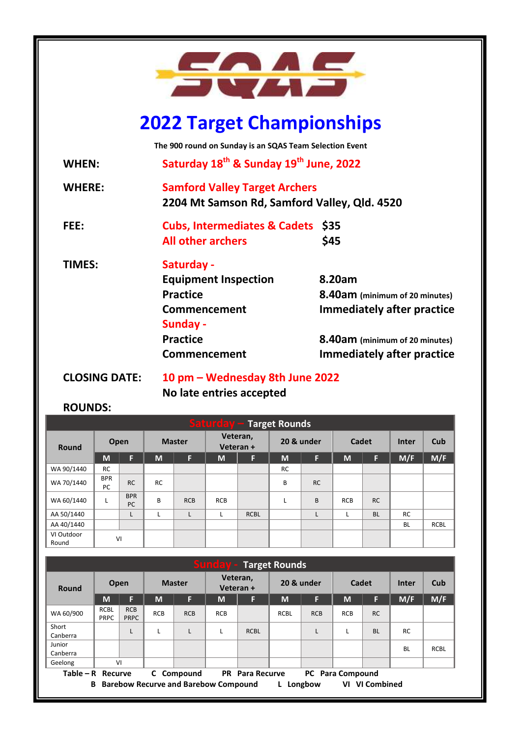

# **2022 Target Championships**

**The 900 round on Sunday is an SQAS Team Selection Event**

**WHEN: Saturday 18 th & Sunday 19th June, 2022**

**WHERE: Samford Valley Target Archers 2204 Mt Samson Rd, Samford Valley, Qld. 4520**

- **FEE: Cubs, Intermediates & Cadets \$35 All other archers \$45**
- **TIMES: Saturday - Equipment Inspection 8.20am Practice 8.40am (minimum of 20 minutes) Commencement Immediately after practice Sunday - Practice 8.40am (minimum of 20 minutes) Commencement Immediately after practice**

**CLOSING DATE: 10 pm – Wednesday 8th June 2022**

# **No late entries accepted**

# **ROUNDS:**

| <b>Saturday - Target Rounds</b> |                  |                  |               |            |                       |             |            |           |            |           |              |             |
|---------------------------------|------------------|------------------|---------------|------------|-----------------------|-------------|------------|-----------|------------|-----------|--------------|-------------|
| <b>Round</b>                    | Open             |                  | <b>Master</b> |            | Veteran,<br>Veteran + |             | 20 & under |           | Cadet      |           | <b>Inter</b> | Cub         |
|                                 | M                | F                | M             | F          | M                     | Æ           | M          | F         | M          | F         | M/F          | M/F         |
| WA 90/1440                      | <b>RC</b>        |                  |               |            |                       |             | <b>RC</b>  |           |            |           |              |             |
| WA 70/1440                      | <b>BPR</b><br>PC | <b>RC</b>        | <b>RC</b>     |            |                       |             | B          | <b>RC</b> |            |           |              |             |
| WA 60/1440                      |                  | <b>BPR</b><br>PC | B             | <b>RCB</b> | <b>RCB</b>            |             | L          | B         | <b>RCB</b> | <b>RC</b> |              |             |
| AA 50/1440                      |                  | L                |               | L          |                       | <b>RCBL</b> |            | L         |            | <b>BL</b> | <b>RC</b>    |             |
| AA 40/1440                      |                  |                  |               |            |                       |             |            |           |            |           | <b>BL</b>    | <b>RCBL</b> |
| VI Outdoor<br>Round             | VI               |                  |               |            |                       |             |            |           |            |           |              |             |

| <b>Sunday - Target Rounds</b> |                            |                           |               |            |                       |                     |                              |            |            |           |              |             |
|-------------------------------|----------------------------|---------------------------|---------------|------------|-----------------------|---------------------|------------------------------|------------|------------|-----------|--------------|-------------|
| Round                         | Open                       |                           | <b>Master</b> |            | Veteran,<br>Veteran + |                     | 20 & under                   |            | Cadet      |           | <b>Inter</b> | Cub         |
|                               | M                          | F                         | M             | F          | M                     | F                   | M                            | F          | M          | F         | M/F          | M/F         |
| WA 60/900                     | <b>RCBL</b><br><b>PRPC</b> | <b>RCB</b><br><b>PRPC</b> | <b>RCB</b>    | <b>RCB</b> | <b>RCB</b>            |                     | <b>RCBL</b>                  | <b>RCB</b> | <b>RCB</b> | <b>RC</b> |              |             |
| Short<br>Canberra             |                            | L                         |               |            |                       | <b>RCBL</b>         |                              | L          |            | <b>BL</b> | <b>RC</b>    |             |
| Junior<br>Canberra            |                            |                           |               |            |                       |                     |                              |            |            |           | <b>BL</b>    | <b>RCBL</b> |
| Geelong                       |                            | VI                        |               |            |                       |                     |                              |            |            |           |              |             |
| $Table - R$ Recurve           |                            |                           | C.            | Compound   | <b>PR</b>             | <b>Para Recurve</b> | <b>Para Compound</b><br>PC . |            |            |           |              |             |

 **B Barebow Recurve and Barebow Compound L Longbow VI VI Combined**